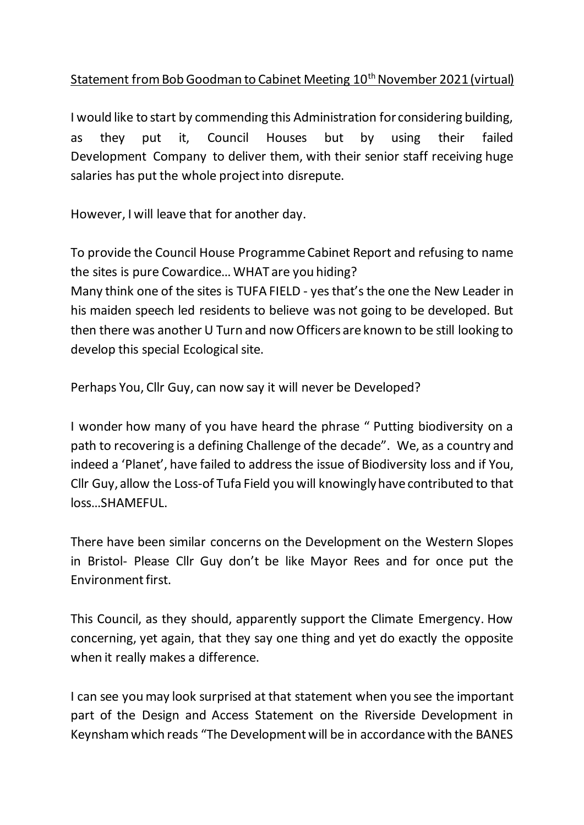## Statement from Bob Goodman to Cabinet Meeting 10<sup>th</sup> November 2021 (virtual)

I would like to start by commending this Administration for considering building, as they put it, Council Houses but by using their failed Development Company to deliver them, with their senior staff receiving huge salaries has put the whole project into disrepute.

However, I will leave that for another day.

To provide the Council House Programme Cabinet Report and refusing to name the sites is pure Cowardice… WHAT are you hiding? Many think one of the sites is TUFA FIELD - yes that's the one the New Leader in his maiden speech led residents to believe was not going to be developed. But then there was another U Turn and now Officers are known to be still looking to develop this special Ecological site.

Perhaps You, Cllr Guy, can now say it will never be Developed?

I wonder how many of you have heard the phrase " Putting biodiversity on a path to recovering is a defining Challenge of the decade". We, as a country and indeed a 'Planet', have failed to address the issue of Biodiversity loss and if You, Cllr Guy, allow the Loss-of Tufa Field you will knowingly have contributed to that loss…SHAMEFUL.

There have been similar concerns on the Development on the Western Slopes in Bristol- Please Cllr Guy don't be like Mayor Rees and for once put the Environment first.

This Council, as they should, apparently support the Climate Emergency. How concerning, yet again, that they say one thing and yet do exactly the opposite when it really makes a difference.

I can see you may look surprised at that statement when you see the important part of the Design and Access Statement on the Riverside Development in Keynsham which reads "The Development will be in accordance with the BANES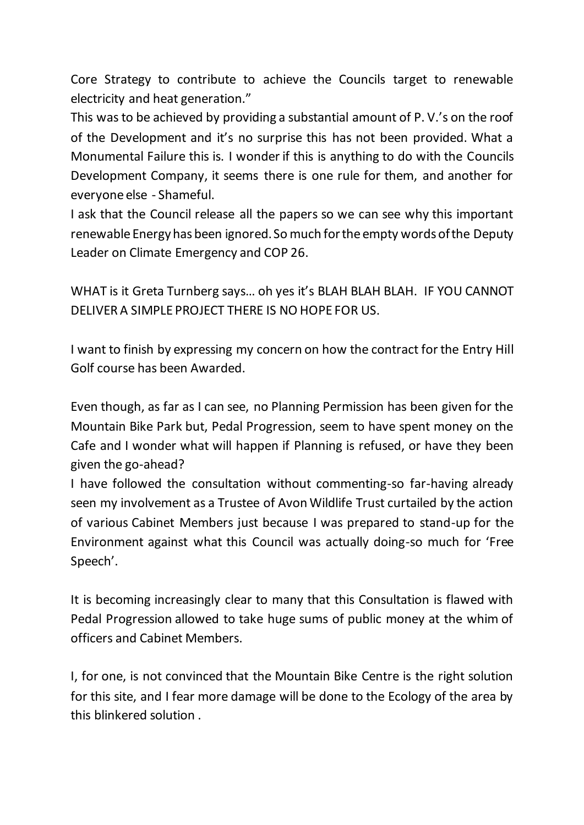Core Strategy to contribute to achieve the Councils target to renewable electricity and heat generation."

This was to be achieved by providing a substantial amount of P. V.'s on the roof of the Development and it's no surprise this has not been provided. What a Monumental Failure this is. I wonder if this is anything to do with the Councils Development Company, it seems there is one rule for them, and another for everyone else - Shameful.

I ask that the Council release all the papers so we can see why this important renewable Energy has been ignored. So much for the empty words of the Deputy Leader on Climate Emergency and COP 26.

WHAT is it Greta Turnberg says… oh yes it's BLAH BLAH BLAH. IF YOU CANNOT DELIVER A SIMPLE PROJECT THERE IS NO HOPE FOR US.

I want to finish by expressing my concern on how the contract for the Entry Hill Golf course has been Awarded.

Even though, as far as I can see, no Planning Permission has been given for the Mountain Bike Park but, Pedal Progression, seem to have spent money on the Cafe and I wonder what will happen if Planning is refused, or have they been given the go-ahead?

I have followed the consultation without commenting-so far-having already seen my involvement as a Trustee of Avon Wildlife Trust curtailed by the action of various Cabinet Members just because I was prepared to stand-up for the Environment against what this Council was actually doing-so much for 'Free Speech'.

It is becoming increasingly clear to many that this Consultation is flawed with Pedal Progression allowed to take huge sums of public money at the whim of officers and Cabinet Members.

I, for one, is not convinced that the Mountain Bike Centre is the right solution for this site, and I fear more damage will be done to the Ecology of the area by this blinkered solution .